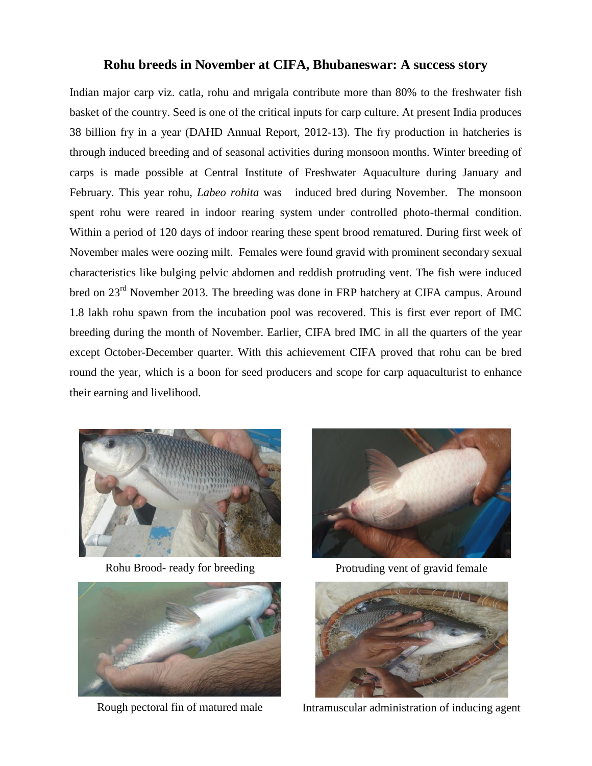## **Rohu breeds in November at CIFA, Bhubaneswar: A success story**

Indian major carp viz. catla, rohu and mrigala contribute more than 80% to the freshwater fish basket of the country. Seed is one of the critical inputs for carp culture. At present India produces 38 billion fry in a year (DAHD Annual Report, 2012-13). The fry production in hatcheries is through induced breeding and of seasonal activities during monsoon months. Winter breeding of carps is made possible at Central Institute of Freshwater Aquaculture during January and February. This year rohu, *Labeo rohita* was induced bred during November. The monsoon spent rohu were reared in indoor rearing system under controlled photo-thermal condition. Within a period of 120 days of indoor rearing these spent brood rematured. During first week of November males were oozing milt. Females were found gravid with prominent secondary sexual characteristics like bulging pelvic abdomen and reddish protruding vent. The fish were induced bred on 23<sup>rd</sup> November 2013. The breeding was done in FRP hatchery at CIFA campus. Around 1.8 lakh rohu spawn from the incubation pool was recovered. This is first ever report of IMC breeding during the month of November. Earlier, CIFA bred IMC in all the quarters of the year except October-December quarter. With this achievement CIFA proved that rohu can be bred round the year, which is a boon for seed producers and scope for carp aquaculturist to enhance their earning and livelihood.



Rohu Brood- ready for breeding Protruding vent of gravid female







Rough pectoral fin of matured male Intramuscular administration of inducing agent